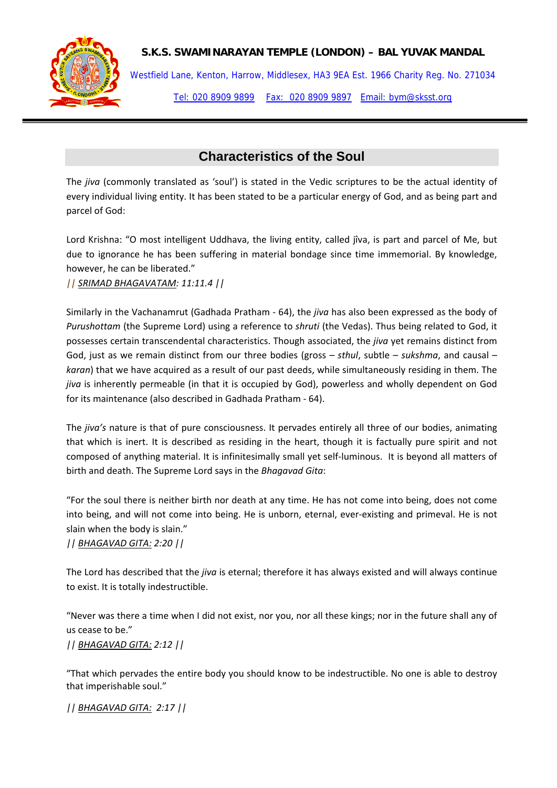

## **S.K.S. SWAMINARAYAN TEMPLE (LONDON) – BAL YUVAK MANDAL**

Westfield Lane, Kenton, Harrow, Middlesex, HA3 9EA Est. 1966 Charity Reg. No. 271034 Tel: 020 8909 9899 Fax: 020 8909 9897 Email: bym@sksst.org

# **Characteristics of the Soul**

The *jiva* (commonly translated as 'soul') is stated in the Vedic scriptures to be the actual identity of every individual living entity. It has been stated to be a particular energy of God, and as being part and parcel of God:

Lord Krishna: "O most intelligent Uddhava, the living entity, called jîva, is part and parcel of Me, but due to ignorance he has been suffering in material bondage since time immemorial. By knowledge, however, he can be liberated."

*|| SRIMAD BHAGAVATAM: 11:11.4 ||*

Similarly in the Vachanamrut (Gadhada Pratham ‐ 64), the *jiva* has also been expressed as the body of *Purushottam* (the Supreme Lord) using a reference to *shruti* (the Vedas). Thus being related to God, it possesses certain transcendental characteristics. Though associated, the *jiva* yet remains distinct from God, just as we remain distinct from our three bodies (gross – *sthul*, subtle – *sukshma*, and causal – *karan*) that we have acquired as a result of our past deeds, while simultaneously residing in them. The *jiva* is inherently permeable (in that it is occupied by God), powerless and wholly dependent on God for its maintenance (also described in Gadhada Pratham ‐ 64).

The *jiva's* nature is that of pure consciousness. It pervades entirely all three of our bodies, animating that which is inert. It is described as residing in the heart, though it is factually pure spirit and not composed of anything material. It is infinitesimally small yet self‐luminous. It is beyond all matters of birth and death. The Supreme Lord says in the *Bhagavad Gita*:

"For the soul there is neither birth nor death at any time. He has not come into being, does not come into being, and will not come into being. He is unborn, eternal, ever‐existing and primeval. He is not slain when the body is slain."

*|| BHAGAVAD GITA: 2:20 ||*

The Lord has described that the *jiva* is eternal; therefore it has always existed and will always continue to exist. It is totally indestructible.

"Never was there a time when I did not exist, nor you, nor all these kings; nor in the future shall any of us cease to be."

*|| BHAGAVAD GITA: 2:12 ||* 

"That which pervades the entire body you should know to be indestructible. No one is able to destroy that imperishable soul."

*|| BHAGAVAD GITA: 2:17 ||*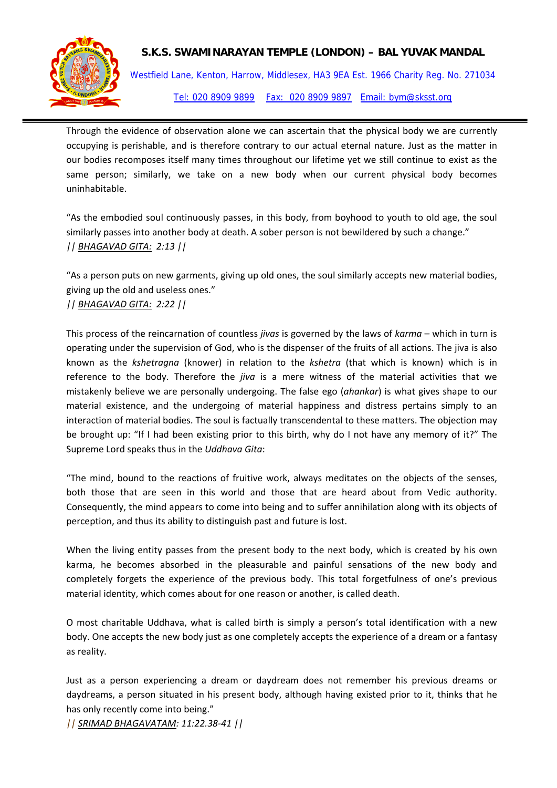

### **S.K.S. SWAMINARAYAN TEMPLE (LONDON) – BAL YUVAK MANDAL**

Westfield Lane, Kenton, Harrow, Middlesex, HA3 9EA Est. 1966 Charity Reg. No. 271034 Tel: 020 8909 9899 Fax: 020 8909 9897 Email: bym@sksst.org

Through the evidence of observation alone we can ascertain that the physical body we are currently occupying is perishable, and is therefore contrary to our actual eternal nature. Just as the matter in our bodies recomposes itself many times throughout our lifetime yet we still continue to exist as the same person; similarly, we take on a new body when our current physical body becomes uninhabitable.

"As the embodied soul continuously passes, in this body, from boyhood to youth to old age, the soul similarly passes into another body at death. A sober person is not bewildered by such a change." *|| BHAGAVAD GITA: 2:13 ||* 

"As a person puts on new garments, giving up old ones, the soul similarly accepts new material bodies, giving up the old and useless ones."

### *|| BHAGAVAD GITA: 2:22 ||*

This process of the reincarnation of countless *jivas* is governed by the laws of *karma* – which in turn is operating under the supervision of God, who is the dispenser of the fruits of all actions. The jiva is also known as the *kshetragna* (knower) in relation to the *kshetra* (that which is known) which is in reference to the body. Therefore the *jiva* is a mere witness of the material activities that we mistakenly believe we are personally undergoing. The false ego (*ahankar*) is what gives shape to our material existence, and the undergoing of material happiness and distress pertains simply to an interaction of material bodies. The soul is factually transcendental to these matters. The objection may be brought up: "If I had been existing prior to this birth, why do I not have any memory of it?" The Supreme Lord speaks thus in the *Uddhava Gita*:

"The mind, bound to the reactions of fruitive work, always meditates on the objects of the senses, both those that are seen in this world and those that are heard about from Vedic authority. Consequently, the mind appears to come into being and to suffer annihilation along with its objects of perception, and thus its ability to distinguish past and future is lost.

When the living entity passes from the present body to the next body, which is created by his own karma, he becomes absorbed in the pleasurable and painful sensations of the new body and completely forgets the experience of the previous body. This total forgetfulness of one's previous material identity, which comes about for one reason or another, is called death.

O most charitable Uddhava, what is called birth is simply a person's total identification with a new body. One accepts the new body just as one completely accepts the experience of a dream or a fantasy as reality.

Just as a person experiencing a dream or daydream does not remember his previous dreams or daydreams, a person situated in his present body, although having existed prior to it, thinks that he has only recently come into being."

*|| SRIMAD BHAGAVATAM: 11:22.38‐41 ||*